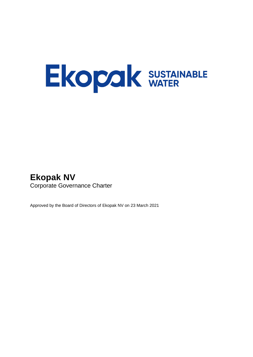# EKOPOK SUSTAINABLE

# **Ekopak NV** Corporate Governance Charter

Approved by the Board of Directors of Ekopak NV on 23 March 2021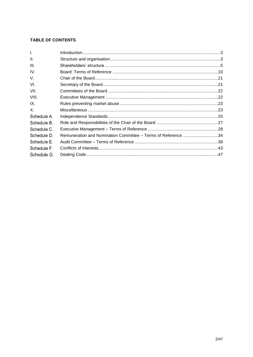# **TABLE OF CONTENTS**

| $\mathbf{L}$ |                                                               |  |
|--------------|---------------------------------------------------------------|--|
| H.           |                                                               |  |
| III.         |                                                               |  |
| IV.          |                                                               |  |
| V.           |                                                               |  |
| VI.          |                                                               |  |
| VII.         |                                                               |  |
| VIII.        |                                                               |  |
| IX.          |                                                               |  |
| $X_{-}$      |                                                               |  |
| Schedule A.  |                                                               |  |
| Schedule B.  |                                                               |  |
| Schedule C.  |                                                               |  |
| Schedule D.  | Remuneration and Nomination Committee - Terms of Reference 34 |  |
| Schedule E.  |                                                               |  |
| Schedule F.  |                                                               |  |
| Schedule G.  |                                                               |  |
|              |                                                               |  |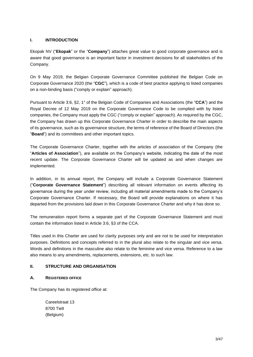### <span id="page-2-0"></span>**I. INTRODUCTION**

Ekopak NV ("**Ekopak**" or the "**Company**") attaches great value to good corporate governance and is aware that good governance is an important factor in investment decisions for all stakeholders of the Company.

On 9 May 2019, the Belgian Corporate Governance Committee published the Belgian Code on Corporate Governance 2020 (the "**CGC**"), which is a code of best practice applying to listed companies on a non-binding basis ("comply or explain" approach).

Pursuant to Article 3:6, §2, 1° of the Belgian Code of Companies and Associations (the "**CCA**") and the Royal Decree of 12 May 2019 on the Corporate Governance Code to be complied with by listed companies, the Company must apply the CGC ("comply or explain" approach). As required by the CGC, the Company has drawn up this Corporate Governance Charter in order to describe the main aspects of its governance, such as its governance structure, the terms of reference of the Board of Directors (the "**Board**") and its committees and other important topics.

The Corporate Governance Charter, together with the articles of association of the Company (the "**Articles of Association**"), are available on the Company's website, indicating the date of the most recent update. The Corporate Governance Charter will be updated as and when changes are implemented.

In addition, in its annual report, the Company will include a Corporate Governance Statement ("**Corporate Governance Statement**") describing all relevant information on events affecting its governance during the year under review, including all material amendments made to the Company's Corporate Governance Charter. If necessary, the Board will provide explanations on where it has departed from the provisions laid down in this Corporate Governance Charter and why it has done so.

The remuneration report forms a separate part of the Corporate Governance Statement and must contain the information listed in Article 3:6, §3 of the CCA.

Titles used in this Charter are used for clarity purposes only and are not to be used for interpretation purposes. Definitions and concepts referred to in the plural also relate to the singular and vice versa. Words and definitions in the masculine also relate to the feminine and vice versa. Reference to a law also means to any amendments, replacements, extensions, etc. to such law.

### <span id="page-2-1"></span>**II. STRUCTURE AND ORGANISATION**

### **A. REGISTERED OFFICE**

The Company has its registered office at:

Careelstraat 13 8700 Tielt (Belgium)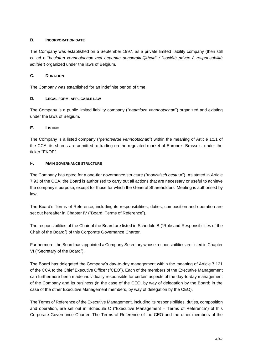### **B. INCORPORATION DATE**

The Company was established on 5 September 1997, as a private limited liability company (then still called a "*besloten vennootschap met beperkte aansprakelijkheid" / "société privée à responsabilité limitée"*) organized under the laws of Belgium.

### **C. DURATION**

The Company was established for an indefinite period of time.

### **D. LEGAL FORM, APPLICABLE LAW**

The Company is a public limited liability company ("*naamloze vennootschap*") organized and existing under the laws of Belgium.

### **E. LISTING**

The Company is a listed company ("*genoteerde vennootschap*") within the meaning of Article 1:11 of the CCA, its shares are admitted to trading on the regulated market of Euronext Brussels, under the ticker "EKOP".

### **F. MAIN GOVERNANCE STRUCTURE**

The Company has opted for a one-tier governance structure ("*monistisch bestuur*"). As stated in Article 7:93 of the CCA, the Board is authorised to carry out all actions that are necessary or useful to achieve the company's purpose, except for those for which the General Shareholders' Meeting is authorised by law.

The Board's Terms of Reference, including its responsibilities, duties, composition and operation are set out hereafter in Chapter [IV](#page-9-0) (["Board: Terms of Reference"](#page-9-0)).

The responsibilities of the Chair of the Board are listed in [Schedule B](#page-26-0) (["Role and Responsibilities of the](#page-26-0)  [Chair of the Board"](#page-26-0)) of this Corporate Governance Charter.

Furthermore, the Board has appointed a Company Secretary whose responsibilities are listed in Chapter [VI](#page-20-1) (["Secretary of the Board"](#page-20-1)).

The Board has delegated the Company's day-to-day management within the meaning of Article 7:121 of the CCA to the Chief Executive Officer ("CEO"). Each of the members of the Executive Management can furthermore been made individually responsible for certain aspects of the day-to-day management of the Company and its business (in the case of the CEO, by way of delegation by the Board; in the case of the other Executive Management members, by way of delegation by the CEO).

The Terms of Reference of the Executive Management, including its responsibilities, duties, composition and operation, are set out in [Schedule C](#page-27-0) (["Executive Management –](#page-27-0) Terms of Reference") of this Corporate Governance Charter. The Terms of Reference of the CEO and the other members of the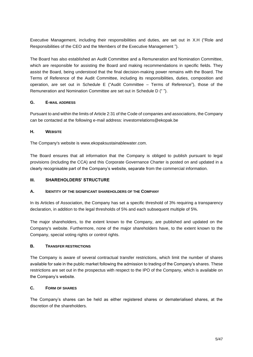Executive Management, including their responsibilities and duties, are set out in [X.H](#page-32-0) (["Role and](#page-32-0)  Responsibilities of the CEO [and the Members of the Executive Management](#page-32-0) ").

The Board has also established an Audit Committee and a Remuneration and Nomination Committee, which are responsible for assisting the Board and making recommendations in specific fields. They assist the Board, being understood that the final decision-making power remains with the Board. The Terms of Reference of the Audit Committee, including its responsibilities, duties, composition and operation, are set out in [Schedule E](#page-37-0) ("Audit Committee – [Terms of Reference"](#page-37-0)), those of the Remuneration and Nomination Committee are set out in [Schedule D](#page-33-0) (["](#page-31-0) ").

### **G. E-MAIL ADDRESS**

Pursuant to and within the limits of Article 2:31 of the Code of companies and associations, the Company can be contacted at the following e-mail address: investorrelations@ekopak.be

### **H. WEBSITE**

The Company's website is www.ekopaksustainablewater.com.

The Board ensures that all information that the Company is obliged to publish pursuant to legal provisions (including the CCA) and this Corporate Governance Charter is posted on and updated in a clearly recognisable part of the Company's website, separate from the commercial information.

### <span id="page-4-0"></span>**III. SHAREHOLDERS' STRUCTURE**

### **A. IDENTITY OF THE SIGNIFICANT SHAREHOLDERS OF THE COMPANY**

In its Articles of Association, the Company has set a specific threshold of 3% requiring a transparency declaration, in addition to the legal thresholds of 5% and each subsequent multiple of 5%.

The major shareholders, to the extent known to the Company, are published and updated on the Company's website. Furthermore, none of the major shareholders have, to the extent known to the Company, special voting rights or control rights.

### **B. TRANSFER RESTRICTIONS**

The Company is aware of several contractual transfer restrictions, which limit the number of shares available for sale in the public market following the admission to trading of the Company's shares. These restrictions are set out in the prospectus with respect to the IPO of the Company, which is available on the Company's website.

### **C. FORM OF SHARES**

The Company's shares can be held as either registered shares or dematerialised shares, at the discretion of the shareholders.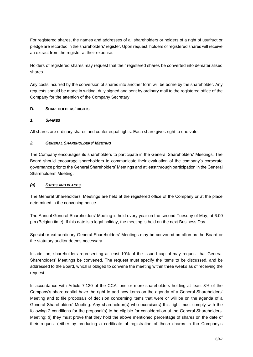For registered shares, the names and addresses of all shareholders or holders of a right of usufruct or pledge are recorded in the shareholders' register. Upon request, holders of registered shares will receive an extract from the register at their expense.

Holders of registered shares may request that their registered shares be converted into dematerialised shares.

Any costs incurred by the conversion of shares into another form will be borne by the shareholder. Any requests should be made in writing, duly signed and sent by ordinary mail to the registered office of the Company for the attention of the Company Secretary.

### **D. SHAREHOLDERS' RIGHTS**

### *1. SHARES*

All shares are ordinary shares and confer equal rights. Each share gives right to one vote.

### *2. GENERAL SHAREHOLDERS' MEETING*

The Company encourages its shareholders to participate in the General Shareholders' Meetings. The Board should encourage shareholders to communicate their evaluation of the company's corporate governance prior to the General Shareholders' Meetings and at least through participation in the General Shareholders' Meeting.

### *(a) DATES AND PLACES*

The General Shareholders' Meetings are held at the registered office of the Company or at the place determined in the convening notice.

The Annual General Shareholders' Meeting is held every year on the second Tuesday of May, at 6:00 pm (Belgian time). If this date is a legal holiday, the meeting is held on the next Business Day.

Special or extraordinary General Shareholders' Meetings may be convened as often as the Board or the statutory auditor deems necessary.

In addition, shareholders representing at least 10% of the issued capital may request that General Shareholders' Meetings be convened. The request must specify the items to be discussed, and be addressed to the Board, which is obliged to convene the meeting within three weeks as of receiving the request.

In accordance with Article 7:130 of the CCA, one or more shareholders holding at least 3% of the Company's share capital have the right to add new items on the agenda of a General Shareholders' Meeting and to file proposals of decision concerning items that were or will be on the agenda of a General Shareholders' Meeting. Any shareholder(s) who exercise(s) this right must comply with the following 2 conditions for the proposal(s) to be eligible for consideration at the General Shareholders' Meeting: (i) they must prove that they hold the above mentioned percentage of shares on the date of their request (either by producing a certificate of registration of those shares in the Company's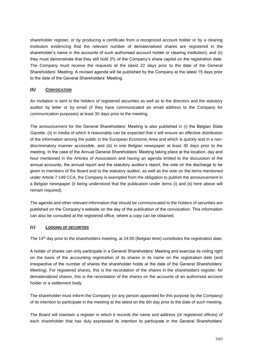shareholder register, or by producing a certificate from a recognized account holder or by a clearing institution evidencing that the relevant number of dematerialised shares are registered in the shareholder's name in the accounts of such authorised account holder or clearing institution); and (ii) they must demonstrate that they still hold 3% of the Company's share capital on the registration date. The Company must receive the requests at the latest 22 days prior to the date of the General Shareholders' Meeting. A revised agenda will be published by the Company at the latest 15 days prior to the date of the General Shareholders' Meeting.

### *(b) CONVOCATION*

An invitation is sent to the holders of registered securities as well as to the directors and the statutory auditor by letter or by email (if they have communicated an email address to the Company for communication purposes) at least 30 days prior to the meeting.

The announcement for the General Shareholders' Meeting is also published in (i) the Belgian State Gazette, (ii) in media of which it reasonably can be expected that it will ensure an effective distribution of the information among the public in the European Economic Area and which is quickly and in a nondiscriminatory manner accessible, and (iii) in one Belgian newspaper at least 30 days prior to the meeting. In the case of the Annual General Shareholders' Meeting taking place at the location, day and hour mentioned in the Articles of Association and having an agenda limited to the discussion of the annual accounts, the annual report and the statutory auditor's report, the vote on the discharge to be given to members of the Board and to the statutory auditor, as well as the vote on the items mentioned under Article 7:149 CCA, the Company is exempted from the obligation to publish the announcement in a Belgian newspaper (it being understood that the publication under items (i) and (ii) here above will remain required).

The agenda and other relevant information that should be communicated to the holders of securities are published on the Company's website on the day of the publication of the convocation. This information can also be consulted at the registered office, where a copy can be obtained.

### *(c) LODGING OF SECURITIES*

The 14<sup>th</sup> day prior to the shareholders meeting, at 24:00 (Belgian time) constitutes the registration date.

A holder of shares can only participate in a General Shareholders' Meeting and exercise its voting right on the basis of the accounting registration of its shares in its name on the registration date (and irrespective of the number of shares the shareholder holds at the date of the General Shareholders' Meeting). For registered shares, this is the recordation of the shares in the shareholders register, for dematerialized shares, this is the recordation of the shares on the accounts of an authorised account holder or a settlement body.

The shareholder must inform the Company (or any person appointed for this purpose by the Company) of its intention to participate in the meeting at the latest on the 6th day prior to the date of such meeting.

The Board will maintain a register in which it records the name and address (or registered offices) of each shareholder that has duly expressed its intention to participate in the General Shareholders'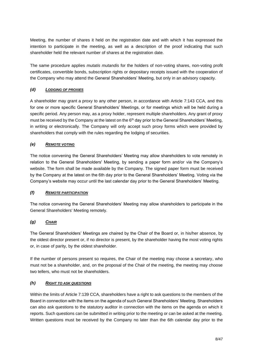Meeting, the number of shares it held on the registration date and with which it has expressed the intention to participate in the meeting, as well as a description of the proof indicating that such shareholder held the relevant number of shares at the registration date.

The same procedure applies *mutatis mutandis* for the holders of non-voting shares, non-voting profit certificates, convertible bonds, subscription rights or depositary receipts issued with the cooperation of the Company who may attend the General Shareholders' Meeting, but only in an advisory capacity.

### *(d) LODGING OF PROXIES*

A shareholder may grant a proxy to any other person, in accordance with Article 7:143 CCA, and this for one or more specific General Shareholders' Meetings, or for meetings which will be held during a specific period. Any person may, as a proxy holder, represent multiple shareholders. Any grant of proxy must be received by the Company at the latest on the 6<sup>th</sup> day prior to the General Shareholders' Meeting, in writing or electronically. The Company will only accept such proxy forms which were provided by shareholders that comply with the rules regarding the lodging of securities.

# *(e) REMOTE VOTING*

The notice convening the General Shareholders' Meeting may allow shareholders to vote remotely in relation to the General Shareholders' Meeting, by sending a paper form and/or via the Company's website. The form shall be made available by the Company. The signed paper form must be received by the Company at the latest on the 6th day prior to the General Shareholders' Meeting. Voting via the Company's website may occur until the last calendar day prior to the General Shareholders' Meeting.

### *(f) REMOTE PARTICIPATION*

The notice convening the General Shareholders' Meeting may allow shareholders to participate in the General Shareholders' Meeting remotely.

### *(g) CHAIR*

The General Shareholders' Meetings are chaired by the Chair of the Board or, in his/her absence, by the oldest director present or, if no director is present, by the shareholder having the most voting rights or, in case of parity, by the oldest shareholder.

If the number of persons present so requires, the Chair of the meeting may choose a secretary, who must not be a shareholder, and, on the proposal of the Chair of the meeting, the meeting may choose two tellers, who must not be shareholders.

### *(h) RIGHT TO ASK QUESTIONS*

Within the limits of Article 7:139 CCA, shareholders have a right to ask questions to the members of the Board in connection with the items on the agenda of such General Shareholders' Meeting. Shareholders can also ask questions to the statutory auditor in connection with the items on the agenda on which it reports. Such questions can be submitted in writing prior to the meeting or can be asked at the meeting. Written questions must be received by the Company no later than the 6th calendar day prior to the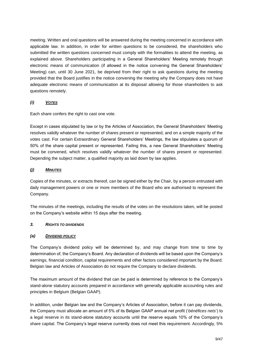meeting. Written and oral questions will be answered during the meeting concerned in accordance with applicable law. In addition, in order for written questions to be considered, the shareholders who submitted the written questions concerned must comply with the formalities to attend the meeting, as explained above. Shareholders participating in a General Shareholders' Meeting remotely through electronic means of communication (if allowed in the notice convening the General Shareholders' Meeting) can, until 30 June 2021, be deprived from their right to ask questions during the meeting provided that the Board justifies in the notice convening the meeting why the Company does not have adequate electronic means of communication at its disposal allowing for those shareholders to ask questions remotely.

### *(i) VOTES*

Each share confers the right to cast one vote.

Except in cases stipulated by law or by the Articles of Association, the General Shareholders' Meeting resolves validly whatever the number of shares present or represented, and on a simple majority of the votes cast. For certain Extraordinary General Shareholders' Meetings, the law stipulates a quorum of 50% of the share capital present or represented. Failing this, a new General Shareholders' Meeting must be convened, which resolves validly whatever the number of shares present or represented. Depending the subject matter, a qualified majority as laid down by law applies.

### *(j) MINUTES*

Copies of the minutes, or extracts thereof, can be signed either by the Chair, by a person entrusted with daily management powers or one or more members of the Board who are authorised to represent the Company.

The minutes of the meetings, including the results of the votes on the resolutions taken, will be posted on the Company's website within 15 days after the meeting.

### *3. RIGHTS TO DIVIDENDS*

### *(a) DIVIDEND POLICY*

The Company's dividend policy will be determined by, and may change from time to time by determination of, the Company's Board. Any declaration of dividends will be based upon the Company's earnings, financial condition, capital requirements and other factors considered important by the Board. Belgian law and Articles of Association do not require the Company to declare dividends.

The maximum amount of the dividend that can be paid is determined by reference to the Company's stand-alone statutory accounts prepared in accordance with generally applicable accounting rules and principles in Belgium (Belgian GAAP).

In addition, under Belgian law and the Company's Articles of Association, before it can pay dividends, the Company must allocate an amount of 5% of its Belgian GAAP annual net profit ('*bénéfices nets*') to a legal reserve in its stand-alone statutory accounts until the reserve equals 10% of the Company's share capital. The Company's legal reserve currently does not meet this requirement. Accordingly, 5%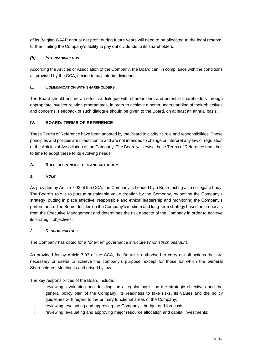of its Belgian GAAP annual net profit during future years will need to be allocated to the legal reserve, further limiting the Company's ability to pay out dividends to its shareholders.

### *(b) INTERIM DIVIDENDS*

According the Articles of Association of the Company, the Board can, in compliance with the conditions as provided by the CCA, decide to pay interim dividends.

### **E. COMMUNICATION WITH SHAREHOLDERS**

The Board should ensure an effective dialogue with shareholders and potential shareholders through appropriate investor relation programmes, in order to achieve a better understanding of their objectives and concerns. Feedback of such dialogue should be given to the Board, on at least an annual basis.

### <span id="page-9-0"></span>**IV. BOARD: TERMS OF REFERENCE**

These Terms of Reference have been adopted by the Board to clarify its role and responsibilities. These principles and policies are in addition to and are not intended to change or interpret any law or regulation or the Articles of Association of the Company. The Board will revise these Terms of Reference from time to time to adopt these to its evolving needs.

### **A. ROLE, RESPONSIBILITIES AND AUTHORITY**

### *1. ROLE*

As provided by Article 7:93 of the CCA, the Company is headed by a Board acting as a collegiate body. The Board's role is to pursue sustainable value creation by the Company, by setting the Company's strategy, putting in place effective, responsible and ethical leadership and monitoring the Company's performance. The Board decides on the Company's medium and long-term strategy based on proposals from the Executive Management and determines the risk appetite of the Company in order to achieve its strategic objectives.

### *2. RESPONSIBILITIES*

The Company has opted for a "one-tier" governance structure ('*monistisch bestuur*').

As provided for by Article 7:93 of the CCA, the Board is authorised to carry out all actions that are necessary or useful to achieve the company's purpose, except for those for which the General Shareholders' Meeting is authorised by law.

The key responsibilities of the Board include:

- i. reviewing, evaluating and deciding, on a regular basis, on the strategic objectives and the general policy plan of the Company, its readiness to take risks, its values and the policy guidelines with regard to the primary functional areas of the Company;
- ii. reviewing, evaluating and approving the Company's budget and forecasts;
- iii. reviewing, evaluating and approving major resource allocation and capital investments;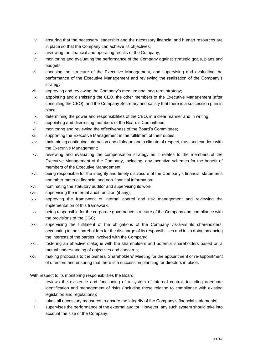- iv. ensuring that the necessary leadership and the necessary financial and human resources are in place so that the Company can achieve its objectives;
- v. reviewing the financial and operating results of the Company;
- vi. monitoring and evaluating the performance of the Company against strategic goals, plans and budgets;
- vii. choosing the structure of the Executive Management, and supervising and evaluating the performance of the Executive Management and reviewing the realisation of the Company's strategy;
- viii. approving and reviewing the Company's medium and long-term strategy;
- ix. appointing and dismissing the CEO, the other members of the Executive Management (after consulting the CEO), and the Company Secretary and satisfy that there is a succession plan in place;
- x. determining the power and responsibilities of the CEO, in a clear manner and in writing;
- xi. appointing and dismissing members of the Board's Committees;
- xii. monitoring and reviewing the effectiveness of the Board's Committees;
- xiii. supporting the Executive Management in the fulfilment of their duties;
- xiv. maintaining continuing interaction and dialogue and a climate of respect, trust and candour with the Executive Management;
- xv. reviewing and evaluating the compensation strategy as it relates to the members of the Executive Management of the Company, including, any incentive schemes for the benefit of members of the Executive Management;
- xvi. being responsible for the integrity and timely disclosure of the Company's financial statements and other material financial and non-financial information;
- xvii. nominating the statutory auditor and supervising its work;
- xviii. supervising the internal audit function (if any);
- xix. approving the framework of internal control and risk management and reviewing the implementation of this framework;
- xx. being responsible for the corporate governance structure of the Company and compliance with the provisions of the CGC;
- xxi. supervising the fulfilment of the obligations of the Company vis-à-vis its shareholders, accounting to the shareholders for the discharge of its responsibilities and in so doing balancing the interests of the parties involved with the Company;
- xxii. fostering an effective dialogue with the shareholders and potential shareholders based on a mutual understanding of objectives and concerns;
- xxiii. making proposals to the General Shareholders' Meeting for the appointment or re-appointment of directors and ensuring that there is a succession planning for directors in place.

With respect to its monitoring responsibilities the Board:

- i. reviews the existence and functioning of a system of internal control, including adequate identification and management of risks (including those relating to compliance with existing legislation and regulations);
- ii. takes all necessary measures to ensure the integrity of the Company's financial statements;
- iii. supervises the performance of the external auditor. However, any such system should take into account the size of the Company;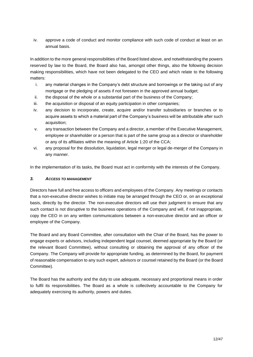iv. approve a code of conduct and monitor compliance with such code of conduct at least on an annual basis.

In addition to the more general responsibilities of the Board listed above, and notwithstanding the powers reserved by law to the Board, the Board also has, amongst other things, also the following decision making responsibilities, which have not been delegated to the CEO and which relate to the following matters:

- i. any material changes in the Company's debt structure and borrowings or the taking out of any mortgage or the pledging of assets if not foreseen in the approved annual budget;
- ii. the disposal of the whole or a substantial part of the business of the Company;
- iii. the acquisition or disposal of an equity participation in other companies;
- iv. any decision to incorporate, create, acquire and/or transfer subsidiaries or branches or to acquire assets to which a material part of the Company's business will be attributable after such acquisition;
- v. any transaction between the Company and a director, a member of the Executive Management, employee or shareholder or a person that is part of the same group as a director or shareholder or any of its affiliates within the meaning of Article 1:20 of the CCA;
- vi. any proposal for the dissolution, liquidation, legal merger or legal de-merger of the Company in any manner.

In the implementation of its tasks, the Board must act in conformity with the interests of the Company.

### *3. ACCESS TO MANAGEMENT*

Directors have full and free access to officers and employees of the Company. Any meetings or contacts that a non-executive director wishes to initiate may be arranged through the CEO or, on an exceptional basis, directly by the director. The non-executive directors will use their judgment to ensure that any such contact is not disruptive to the business operations of the Company and will, if not inappropriate, copy the CEO in on any written communications between a non-executive director and an officer or employee of the Company.

The Board and any Board Committee, after consultation with the Chair of the Board, has the power to engage experts or advisors, including independent legal counsel, deemed appropriate by the Board (or the relevant Board Committee), without consulting or obtaining the approval of any officer of the Company. The Company will provide for appropriate funding, as determined by the Board, for payment of reasonable compensation to any such expert, advisors or counsel retained by the Board (or the Board Committee).

The Board has the authority and the duty to use adequate, necessary and proportional means in order to fulfil its responsibilities. The Board as a whole is collectively accountable to the Company for adequately exercising its authority, powers and duties.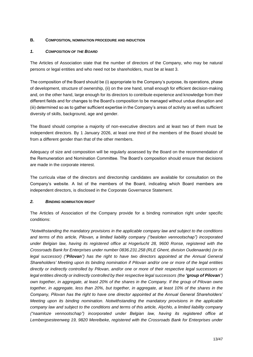### **B. COMPOSITION, NOMINATION PROCEDURE AND INDUCTION**

### *1. COMPOSITION OF THE BOARD*

The Articles of Association state that the number of directors of the Company, who may be natural persons or legal entities and who need not be shareholders, must be at least 3.

The composition of the Board should be (i) appropriate to the Company's purpose, its operations, phase of development, structure of ownership, (ii) on the one hand, small enough for efficient decision-making and, on the other hand, large enough for its directors to contribute experience and knowledge from their different fields and for changes to the Board's composition to be managed without undue disruption and (iii) determined so as to gather sufficient expertise in the Company's areas of activity as well as sufficient diversity of skills, background, age and gender.

The Board should comprise a majority of non-executive directors and at least two of them must be independent directors. By 1 January 2026, at least one third of the members of the Board should be from a different gender than that of the other members.

Adequacy of size and composition will be regularly assessed by the Board on the recommendation of the Remuneration and Nomination Committee. The Board's composition should ensure that decisions are made in the corporate interest.

The curricula vitae of the directors and directorship candidates are available for consultation on the Company's website. A list of the members of the Board, indicating which Board members are independent directors, is disclosed in the Corporate Governance Statement.

### *2. BINDING NOMINATION RIGHT*

The Articles of Association of the Company provide for a binding nomination right under specific conditions:

"*Notwithstanding the mandatory provisions in the applicable company law and subject to the conditions and terms of this article, Pilovan, a limited liability company ("besloten vennootschap") incorporated under Belgian law, having its registered office at Hogerlucht 28, 9600 Ronse, registered with the Crossroads Bank for Enterprises under number 0836.231.258 (RLE Ghent, division Oudenaarde) (or its legal successor) ("Pilovan") has the right to have two directors appointed at the Annual General Shareholders' Meeting upon its binding nomination if Pilovan and/or one or more of the legal entities directly or indirectly controlled by Pilovan, and/or one or more of their respective legal successors or legal entities directly or indirectly controlled by their respective legal successors (the "group of Pilovan") own together, in aggregate, at least 20% of the shares in the Company. If the group of Pilovan owns together, in aggregate, less than 20%, but together, in aggregate, at least 10% of the shares in the Company, Pilovan has the right to have one director appointed at the Annual General Shareholders' Meeting upon its binding nomination. Notwithstanding the mandatory provisions in the applicable company law and subject to the conditions and terms of this article, Alychlo, a limited liability company ("naamloze vennootschap") incorporated under Belgian law, having its registered office at Lembergsesteenweg 19, 9820 Merelbeke, registered with the Crossroads Bank for Enterprises under*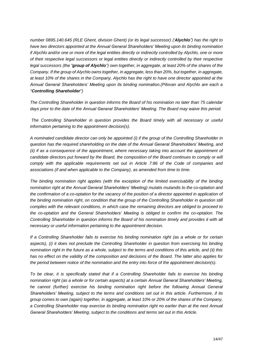*number 0895.140.645 (RLE Ghent, division Ghent) (or its legal successor) ('Alychlo") has the right to have two directors appointed at the Annual General Shareholders' Meeting upon its binding nomination if Alychlo and/or one or more of the legal entities directly or indirectly controlled by Alychlo, one or more of their respective legal successors or legal entities directly or indirectly controlled by their respective legal successors (the "group of Alychlo") own together, in aggregate, at least 20% of the shares of the Company. If the group of Alychlo owns together, in aggregate, less than 20%, but together, in aggregate, at least 10% of the shares in the Company, Alychlo has the right to have one director appointed at the Annual General Shareholders' Meeting upon its binding nomination.(Pilovan and Alychlo are each a "Controlling Shareholder")*

*The Controlling Shareholder in question informs the Board of his nomination no later than 75 calendar days prior to the date of the Annual General Shareholders' Meeting. The Board may waive this period.*

*The Controlling Shareholder in question provides the Board timely with all necessary or useful information pertaining to the appointment decision(s).*

*A nominated candidate director can only be appointed (i) if the group of the Controlling Shareholder in question has the required shareholding on the date of the Annual General Shareholders' Meeting, and (ii) if as a consequence of the appointment, where necessary taking into account the appointment of candidate directors put forward by the Board, the composition of the Board continues to comply or will comply with the applicable requirements set out in Article 7:86 of the Code of companies and associations (if and when applicable to the Company), as amended from time to time.* 

*The binding nomination right applies (with the exception of the limited exercisability of the binding nomination right at the Annual General Shareholders' Meeting) mutatis mutandis to the co-optation and the confirmation of a co-optation for the vacancy of the position of a director appointed in application of the binding nomination right, on condition that the group of the Controlling Shareholder in question still complies with the relevant conditions, in which case the remaining directors are obliged to proceed to the co-optation and the General Shareholders' Meeting is obliged to confirm the co-optation. The Controlling Shareholder in question informs the Board of his nomination timely and provides it with all necessary or useful information pertaining to the appointment decision.*

*If a Controlling Shareholder fails to exercise his binding nomination right (as a whole or for certain aspects), (i) it does not preclude the Controlling Shareholder in question from exercising his binding nomination right in the future as a whole, subject to the terms and conditions of this article, and (ii) this has no effect on the validity of the composition and decisions of the Board. The latter also applies for the period between notice of the nomination and the entry into force of the appointment decision(s).* 

*To be clear, it is specifically stated that if a Controlling Shareholder fails to exercise his binding nomination right (as a whole or for certain aspects) at a certain Annual General Shareholders' Meeting, he cannot (further) exercise his binding nomination right before the following Annual General Shareholders' Meeting, subject to the terms and conditions set out in this article. Furthermore, if its group comes to own (again) together, in aggregate, at least 10% or 20% of the shares of the Company, a Controlling Shareholder may exercise its binding nomination right no earlier than at the next Annual General Shareholders' Meeting, subject to the conditions and terms set out in this Article.*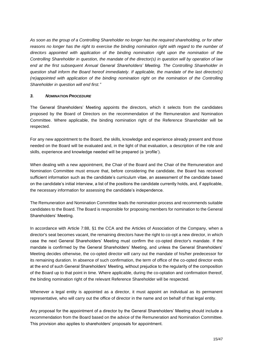*As soon as the group of a Controlling Shareholder no longer has the required shareholding, or for other*  reasons no longer has the right to exercise the binding nomination right with regard to the number of *directors appointed with application of the binding nomination right upon the nomination of the Controlling Shareholder in question, the mandate of the director(s) in question will by operation of law end at the first subsequent Annual General Shareholders' Meeting. The Controlling Shareholder in question shall inform the Board hereof immediately*. *If applicable, the mandate of the last director(s) (re)appointed with application of the binding nomination right on the nomination of the Controlling Shareholder in question will end first."*

### *3. NOMINATION PROCEDURE*

The General Shareholders' Meeting appoints the directors, which it selects from the candidates proposed by the Board of Directors on the recommendation of the Remuneration and Nomination Committee. Where applicable, the binding nomination right of the Reference Shareholder will be respected.

For any new appointment to the Board, the skills, knowledge and experience already present and those needed on the Board will be evaluated and, in the light of that evaluation, a description of the role and skills, experience and knowledge needed will be prepared (a 'profile').

When dealing with a new appointment, the Chair of the Board and the Chair of the Remuneration and Nomination Committee must ensure that, before considering the candidate, the Board has received sufficient information such as the candidate's curriculum vitae, an assessment of the candidate based on the candidate's initial interview, a list of the positions the candidate currently holds, and, if applicable, the necessary information for assessing the candidate's independence.

The Remuneration and Nomination Committee leads the nomination process and recommends suitable candidates to the Board. The Board is responsible for proposing members for nomination to the General Shareholders' Meeting.

In accordance with Article 7:88, §1 the CCA and the Articles of Association of the Company, when a director's seat becomes vacant, the remaining directors have the right to co-opt a new director, in which case the next General Shareholders' Meeting must confirm the co-opted director's mandate. If the mandate is confirmed by the General Shareholders' Meeting, and unless the General Shareholders' Meeting decides otherwise, the co-opted director will carry out the mandate of his/her predecessor for its remaining duration. In absence of such confirmation, the term of office of the co-opted director ends at the end of such General Shareholders' Meeting, without prejudice to the regularity of the composition of the Board up to that point in time. Where applicable, during the co-optation and confirmation thereof, the binding nomination right of the relevant Reference Shareholder will be respected.

Whenever a legal entity is appointed as a director, it must appoint an individual as its permanent representative, who will carry out the office of director in the name and on behalf of that legal entity.

Any proposal for the appointment of a director by the General Shareholders' Meeting should include a recommendation from the Board based on the advice of the Remuneration and Nomination Committee. This provision also applies to shareholders' proposals for appointment.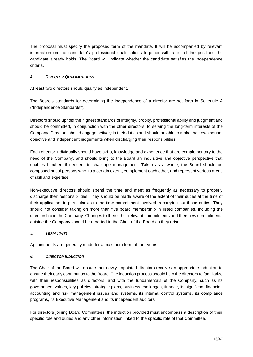The proposal must specify the proposed term of the mandate. It will be accompanied by relevant information on the candidate's professional qualifications together with a list of the positions the candidate already holds. The Board will indicate whether the candidate satisfies the independence criteria.

### *4. DIRECTOR QUALIFICATIONS*

At least two directors should qualify as independent.

The Board's standards for determining the independence of a director are set forth in [Schedule A](#page-24-0) (["Independence Standards"](#page-24-0)).

Directors should uphold the highest standards of integrity, probity, professional ability and judgment and should be committed, in conjunction with the other directors, to serving the long-term interests of the Company. Directors should engage actively in their duties and should be able to make their own sound, objective and independent judgements when discharging their responsibilities

Each director individually should have skills, knowledge and experience that are complementary to the need of the Company, and should bring to the Board an inquisitive and objective perspective that enables him/her, if needed, to challenge management. Taken as a whole, the Board should be composed out of persons who, to a certain extent, complement each other, and represent various areas of skill and expertise.

Non-executive directors should spend the time and meet as frequently as necessary to properly discharge their responsibilities. They should be made aware of the extent of their duties at the time of their application, in particular as to the time commitment involved in carrying out those duties. They should not consider taking on more than five board membership in listed companies, including the directorship in the Company. Changes to their other relevant commitments and their new commitments outside the Company should be reported to the Chair of the Board as they arise.

### *5. TERM LIMITS*

Appointments are generally made for a maximum term of four years.

### *6. DIRECTOR INDUCTION*

The Chair of the Board will ensure that newly appointed directors receive an appropriate induction to ensure their early contribution to the Board. The induction process should help the directors to familiarize with their responsibilities as directors, and with the fundamentals of the Company, such as its governance, values, key policies, strategic plans, business challenges, finance, its significant financial, accounting and risk management issues and systems, its internal control systems, its compliance programs, its Executive Management and its independent auditors.

For directors joining Board Committees, the induction provided must encompass a description of their specific role and duties and any other information linked to the specific role of that Committee.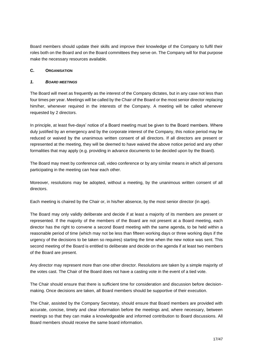Board members should update their skills and improve their knowledge of the Company to fulfil their roles both on the Board and on the Board committees they serve on. The Company will for that purpose make the necessary resources available.

### **C. ORGANISATION**

### *1. BOARD MEETINGS*

The Board will meet as frequently as the interest of the Company dictates, but in any case not less than four times per year. Meetings will be called by the Chair of the Board or the most senior director replacing him/her, whenever required in the interests of the Company. A meeting will be called whenever requested by 2 directors.

In principle, at least five-days' notice of a Board meeting must be given to the Board members. Where duly justified by an emergency and by the corporate interest of the Company, this notice period may be reduced or waived by the unanimous written consent of all directors. If all directors are present or represented at the meeting, they will be deemed to have waived the above notice period and any other formalities that may apply (e.g. providing in advance documents to be decided upon by the Board).

The Board may meet by conference call, video conference or by any similar means in which all persons participating in the meeting can hear each other.

Moreover, resolutions may be adopted, without a meeting, by the unanimous written consent of all directors.

Each meeting is chaired by the Chair or, in his/her absence, by the most senior director (in age).

The Board may only validly deliberate and decide if at least a majority of its members are present or represented. If the majority of the members of the Board are not present at a Board meeting, each director has the right to convene a second Board meeting with the same agenda, to be held within a reasonable period of time (which may not be less than fifteen working days or three working days if the urgency of the decisions to be taken so requires) starting the time when the new notice was sent. This second meeting of the Board is entitled to deliberate and decide on the agenda if at least two members of the Board are present.

Any director may represent more than one other director. Resolutions are taken by a simple majority of the votes cast. The Chair of the Board does not have a casting vote in the event of a tied vote.

The Chair should ensure that there is sufficient time for consideration and discussion before decisionmaking. Once decisions are taken, all Board members should be supportive of their execution.

The Chair, assisted by the Company Secretary, should ensure that Board members are provided with accurate, concise, timely and clear information before the meetings and, where necessary, between meetings so that they can make a knowledgeable and informed contribution to Board discussions. All Board members should receive the same board information.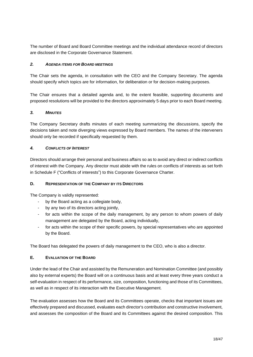The number of Board and Board Committee meetings and the individual attendance record of directors are disclosed in the Corporate Governance Statement.

### *2. AGENDA ITEMS FOR BOARD MEETINGS*

The Chair sets the agenda, in consultation with the CEO and the Company Secretary. The agenda should specify which topics are for information, for deliberation or for decision-making purposes.

The Chair ensures that a detailed agenda and, to the extent feasible, supporting documents and proposed resolutions will be provided to the directors approximately 5 days prior to each Board meeting.

### *3. MINUTES*

The Company Secretary drafts minutes of each meeting summarizing the discussions, specify the decisions taken and note diverging views expressed by Board members. The names of the interveners should only be recorded if specifically requested by them.

### *4. CONFLICTS OF INTEREST*

Directors should arrange their personal and business affairs so as to avoid any direct or indirect conflicts of interest with the Company. Any director must abide with the rules on conflicts of interests as set forth in [Schedule F](#page-42-0) (["Conflicts of interests"](#page-42-0)) to this Corporate Governance Charter.

### **D. REPRESENTATION OF THE COMPANY BY ITS DIRECTORS**

The Company is validly represented:

- by the Board acting as a collegiate body,
- by any two of its directors acting jointly,
- for acts within the scope of the daily management, by any person to whom powers of daily management are delegated by the Board, acting individually,
- for acts within the scope of their specific powers, by special representatives who are appointed by the Board.

The Board has delegated the powers of daily management to the CEO, who is also a director.

### **E. EVALUATION OF THE BOARD**

Under the lead of the Chair and assisted by the Remuneration and Nomination Committee (and possibly also by external experts) the Board will on a continuous basis and at least every three years conduct a self-evaluation in respect of its performance, size, composition, functioning and those of its Committees, as well as in respect of its interaction with the Executive Management.

The evaluation assesses how the Board and its Committees operate, checks that important issues are effectively prepared and discussed, evaluates each director's contribution and constructive involvement, and assesses the composition of the Board and its Committees against the desired composition. This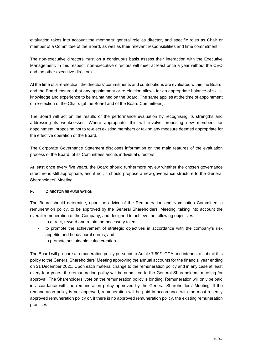evaluation takes into account the members' general role as director, and specific roles as Chair or member of a Committee of the Board, as well as their relevant responsibilities and time commitment.

The non-executive directors must on a continuous basis assess their interaction with the Executive Management. In this respect, non-executive directors will meet at least once a year without the CEO and the other executive directors.

At the time of a re-election, the directors' commitments and contributions are evaluated within the Board, and the Board ensures that any appointment or re-election allows for an appropriate balance of skills, knowledge and experience to be maintained on the Board. The same applies at the time of appointment or re-election of the Chairs (of the Board and of the Board Committees).

The Board will act on the results of the performance evaluation by recognising its strengths and addressing its weaknesses. Where appropriate, this will involve proposing new members for appointment, proposing not to re-elect existing members or taking any measure deemed appropriate for the effective operation of the Board.

The Corporate Governance Statement discloses information on the main features of the evaluation process of the Board, of its Committees and its individual directors.

At least once every five years, the Board should furthermore review whether the chosen governance structure is still appropriate, and if not, it should propose a new governance structure to the General Shareholders' Meeting.

### **F. DIRECTOR REMUNERATION**

The Board should determine, upon the advice of the Remuneration and Nomination Committee, a remuneration policy, to be approved by the General Shareholders' Meeting, taking into account the overall remuneration of the Company, and designed to achieve the following objectives:

- to attract, reward and retain the necessary talent;
- to promote the achievement of strategic objectives in accordance with the company's risk appetite and behavioural norms; and
- to promote sustainable value creation.

The Board will prepare a remuneration policy pursuant to Article 7:89/1 CCA and intends to submit this policy to the General Shareholders' Meeting approving the annual accounts for the financial year ending on 31 December 2021. Upon each material change to the remuneration policy and in any case at least every four years, the remuneration policy will be submitted to the General Shareholders' meeting for approval. The Shareholders' vote on the remuneration policy is binding. Remuneration will only be paid in accordance with the remuneration policy approved by the General Shareholders' Meeting. If the remuneration policy is not approved, remuneration will be paid in accordance with the most recently approved remuneration policy or, if there is no approved remuneration policy, the existing remuneration practices.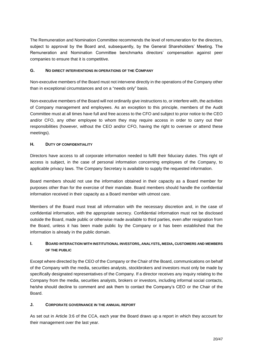The Remuneration and Nomination Committee recommends the level of remuneration for the directors, subject to approval by the Board and, subsequently, by the General Shareholders' Meeting. The Remuneration and Nomination Committee benchmarks directors' compensation against peer companies to ensure that it is competitive.

### **G. NO DIRECT INTERVENTIONS IN OPERATIONS OF THE COMPANY**

Non-executive members of the Board must not intervene directly in the operations of the Company other than in exceptional circumstances and on a "needs only" basis.

Non-executive members of the Board will not ordinarily give instructions to, or interfere with, the activities of Company management and employees. As an exception to this principle, members of the Audit Committee must at all times have full and free access to the CFO and subject to prior notice to the CEO and/or CFO, any other employee to whom they may require access in order to carry out their responsibilities (however, without the CEO and/or CFO, having the right to oversee or attend these meetings).

### **H. DUTY OF CONFIDENTIALITY**

Directors have access to all corporate information needed to fulfil their fiduciary duties. This right of access is subject, in the case of personal information concerning employees of the Company, to applicable privacy laws. The Company Secretary is available to supply the requested information.

Board members should not use the information obtained in their capacity as a Board member for purposes other than for the exercise of their mandate. Board members should handle the confidential information received in their capacity as a Board member with utmost care.

Members of the Board must treat all information with the necessary discretion and, in the case of confidential information, with the appropriate secrecy. Confidential information must not be disclosed outside the Board, made public or otherwise made available to third parties, even after resignation from the Board, unless it has been made public by the Company or it has been established that the information is already in the public domain.

# **I. BOARD INTERACTION WITH INSTITUTIONAL INVESTORS, ANALYSTS, MEDIA, CUSTOMERS AND MEMBERS OF THE PUBLIC**

Except where directed by the CEO of the Company or the Chair of the Board, communications on behalf of the Company with the media, securities analysts, stockbrokers and investors must only be made by specifically designated representatives of the Company. If a director receives any inquiry relating to the Company from the media, securities analysts, brokers or investors, including informal social contacts, he/she should decline to comment and ask them to contact the Company's CEO or the Chair of the Board.

### **J. CORPORATE GOVERNANCE IN THE ANNUAL REPORT**

As set out in Article 3:6 of the CCA, each year the Board draws up a report in which they account for their management over the last year.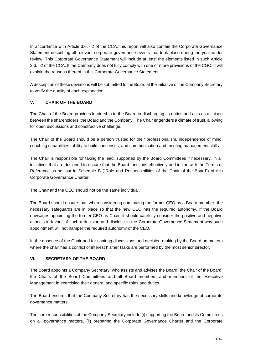In accordance with Article 3:6, §2 of the CCA, this report will also contain the Corporate Governance Statement describing all relevant corporate governance events that took place during the year under review. This Corporate Governance Statement will include at least the elements listed in such Article 3:6, §2 of the CCA. If the Company does not fully comply with one or more provisions of the CGC, it will explain the reasons thereof in this Corporate Governance Statement.

A description of these deviations will be submitted to the Board at the initiative of the Company Secretary to verify the quality of each explanation.

### <span id="page-20-0"></span>**V. CHAIR OF THE BOARD**

The Chair of the Board provides leadership to the Board in discharging its duties and acts as a liaison between the shareholders, the Board and the Company. The Chair engenders a climate of trust, allowing for open discussions and constructive challenge.

The Chair of the Board should be a person trusted for their professionalism, independence of mind, coaching capabilities, ability to build consensus, and communication and meeting management skills.

The Chair is responsible for taking the lead, supported by the Board Committees if necessary, in all initiatives that are designed to ensure that the Board functions effectively and in line with the Terms of Reference as set out in [Schedule B](#page-26-0) (["Role and Responsibilities of the Chair of the Board"](#page-26-0)) of this Corporate Governance Charter.

The Chair and the CEO should not be the same individual.

The Board should ensure that, when considering nominating the former CEO as a Board member, the necessary safeguards are in place so that the new CEO has the required autonomy. If the Board envisages appointing the former CEO as Chair, it should carefully consider the positive and negative aspects in favour of such a decision and disclose in the Corporate Governance Statement why such appointment will not hamper the required autonomy of the CEO.

In the absence of the Chair and for chairing discussions and decision-making by the Board on matters where the chair has a conflict of interest his/her tasks are performed by the most senior director.

### <span id="page-20-1"></span>**VI. SECRETARY OF THE BOARD**

The Board appoints a Company Secretary, who assists and advises the Board, the Chair of the Board, the Chairs of the Board Committees and all Board members and members of the Executive Management in exercising their general and specific roles and duties.

The Board ensures that the Company Secretary has the necessary skills and knowledge of corporate governance matters.

The core responsibilities of the Company Secretary include (i) supporting the Board and its Committees on all governance matters, (ii) preparing the Corporate Governance Charter and the Corporate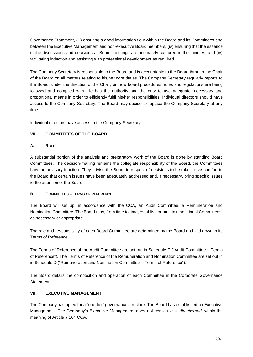Governance Statement, (iii) ensuring a good information flow within the Board and its Committees and between the Executive Management and non-executive Board members, (iv) ensuring that the essence of the discussions and decisions at Board meetings are accurately captured in the minutes, and (iv) facilitating induction and assisting with professional development as required.

The Company Secretary is responsible to the Board and is accountable to the Board through the Chair of the Board on all matters relating to his/her core duties. The Company Secretary regularly reports to the Board, under the direction of the Chair, on how board procedures, rules and regulations are being followed and complied with. He has the authority and the duty to use adequate, necessary and proportional means in order to efficiently fulfil his/her responsibilities. Individual directors should have access to the Company Secretary. The Board may decide to replace the Company Secretary at any time.

<span id="page-21-0"></span>Individual directors have access to the Company Secretary

### **VII. COMMITTEES OF THE BOARD**

### **A. ROLE**

A substantial portion of the analysis and preparatory work of the Board is done by standing Board Committees. The decision-making remains the collegiate responsibility of the Board, the Committees have an advisory function. They advise the Board in respect of decisions to be taken, give comfort to the Board that certain issues have been adequately addressed and, if necessary, bring specific issues to the attention of the Board.

### **B. COMMITTEES – TERMS OF REFERENCE**

The Board will set up, in accordance with the CCA, an Audit Committee, a Remuneration and Nomination Committee. The Board may, from time to time, establish or maintain additional Committees, as necessary or appropriate.

The role and responsibility of each Board Committee are determined by the Board and laid down in its Terms of Reference.

The Terms of Reference of the Audit Committee are set out in [Schedule E](#page-37-0) (["Audit Committee –](#page-37-0) Terms [of Reference"](#page-37-0)). The Terms of Reference of the Remuneration and Nomination Committee are set out in in [Schedule D](#page-33-0) (["Remuneration and Nomination Committee –](#page-33-0) Terms of Reference").

The Board details the composition and operation of each Committee in the Corporate Governance Statement.

### <span id="page-21-1"></span>**VIII. EXECUTIVE MANAGEMENT**

The Company has opted for a "one-tier" governance structure. The Board has established an Executive Management. The Company's Executive Management does not constitute a '*directieraad*' within the meaning of Article 7:104 CCA.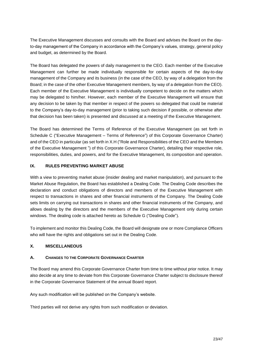The Executive Management discusses and consults with the Board and advises the Board on the dayto-day management of the Company in accordance with the Company's values, strategy, general policy and budget, as determined by the Board.

The Board has delegated the powers of daily management to the CEO. Each member of the Executive Management can further be made individually responsible for certain aspects of the day-to-day management of the Company and its business (in the case of the CEO, by way of a delegation from the Board; in the case of the other Executive Management members, by way of a delegation from the CEO). Each member of the Executive Management is individually competent to decide on the matters which may be delegated to him/her. However, each member of the Executive Management will ensure that any decision to be taken by that member in respect of the powers so delegated that could be material to the Company's day-to-day management (prior to taking such decision if possible, or otherwise after that decision has been taken) is presented and discussed at a meeting of the Executive Management.

The Board has determined the Terms of Reference of the Executive Management (as set forth in [Schedule C](#page-27-0) (["Executive Management –](#page-27-0) Terms of Reference") of this Corporate Governance Charter) and of the CEO in particular (as set forth in [X.H](#page-32-0) (["Role and Responsibilities of the CEO](#page-32-0) and the Members [of the Executive Management](#page-32-0) ") of this Corporate Governance Charter), detailing their respective role, responsibilities, duties, and powers, and for the Executive Management, its composition and operation.

### <span id="page-22-0"></span>**IX. RULES PREVENTING MARKET ABUSE**

With a view to preventing market abuse (insider dealing and market manipulation), and pursuant to the Market Abuse Regulation, the Board has established a Dealing Code. The Dealing Code describes the declaration and conduct obligations of directors and members of the Executive Management with respect to transactions in shares and other financial instruments of the Company. The Dealing Code sets limits on carrying out transactions in shares and other financial instruments of the Company, and allows dealing by the directors and the members of the Executive Management only during certain windows. The dealing code is attached hereto as [Schedule G](#page-46-0) (["Dealing Code"](#page-46-0)).

To implement and monitor this Dealing Code, the Board will designate one or more Compliance Officers who will have the rights and obligations set out in the Dealing Code.

### <span id="page-22-1"></span>**X. MISCELLANEOUS**

### **A. CHANGES TO THE CORPORATE GOVERNANCE CHARTER**

The Board may amend this Corporate Governance Charter from time to time without prior notice. It may also decide at any time to deviate from this Corporate Governance Charter subject to disclosure thereof in the Corporate Governance Statement of the annual Board report.

Any such modification will be published on the Company's website.

Third parties will not derive any rights from such modification or deviation.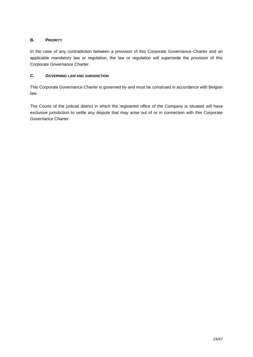## **B. PRIORITY**

In the case of any contradiction between a provision of this Corporate Governance Charter and an applicable mandatory law or regulation, the law or regulation will supersede the provision of this Corporate Governance Charter.

### **C. GOVERNING LAW AND JURISDICTION**

This Corporate Governance Charter is governed by and must be construed in accordance with Belgian law.

The Courts of the judicial district in which the registered office of the Company is situated will have exclusive jurisdiction to settle any dispute that may arise out of or in connection with this Corporate Governance Charter.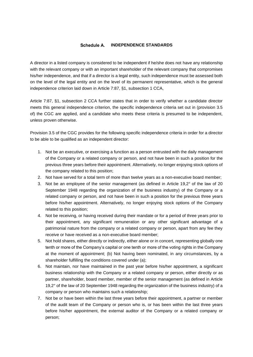### Schedule A. **INDEPENDENCE STANDARDS**

<span id="page-24-0"></span>A director in a listed company is considered to be independent if he/she does not have any relationship with the relevant company or with an important shareholder of the relevant company that compromises his/her independence, and that if a director is a legal entity, such independence must be assessed both on the level of the legal entity and on the level of its permanent representative, which is the general independence criterion laid down in Article 7:87, §1, subsection 1 CCA,

Article 7:87, §1, subsection 2 CCA further states that in order to verify whether a candidate director meets this general independence criterion, the specific independence criteria set out in (provision 3.5 of) the CGC are applied, and a candidate who meets these criteria is presumed to be independent, unless proven otherwise.

Provision 3.5 of the CGC provides for the following specific independence criteria in order for a director to be able to be qualified as an independent director:

- 1. Not be an executive, or exercising a function as a person entrusted with the daily management of the Company or a related company or person, and not have been in such a position for the previous three years before their appointment. Alternatively, no longer enjoying stock options of the company related to this position;
- 2. Not have served for a total term of more than twelve years as a non-executive board member;
- 3. Not be an employee of the senior management (as defined in Article 19,2° of the law of 20 September 1948 regarding the organization of the business industry) of the Company or a related company or person, and not have been in such a position for the previous three years before his/her appointment. Alternatively, no longer enjoying stock options of the Company related to this position;
- 4. Not be receiving, or having received during their mandate or for a period of three years prior to their appointment, any significant remuneration or any other significant advantage of a patrimonial nature from the company or a related company or person, apart from any fee they receive or have received as a non-executive board member;
- 5. Not hold shares, either directly or indirectly, either alone or in concert, representing globally one tenth or more of the Company's capital or one tenth or more of the voting rights in the Company at the moment of appointment; (b) Not having been nominated, in any circumstances, by a shareholder fulfilling the conditions covered under (a);
- 6. Not maintain, nor have maintained in the past year before his/her appointment, a significant business relationship with the Company or a related company or person, either directly or as partner, shareholder, board member, member of the senior management (as defined in Article 19,2° of the law of 20 September 1948 regarding the organization of the business industry) of a company or person who maintains such a relationship;
- 7. Not be or have been within the last three years before their appointment, a partner or member of the audit team of the Company or person who is, or has been within the last three years before his/her appointment, the external auditor of the Company or a related company or person;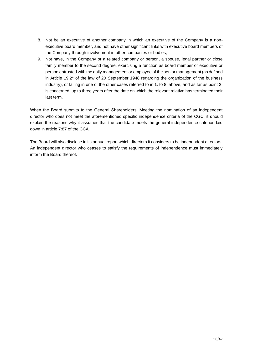- 8. Not be an executive of another company in which an executive of the Company is a nonexecutive board member, and not have other significant links with executive board members of the Company through involvement in other companies or bodies;
- 9. Not have, in the Company or a related company or person, a spouse, legal partner or close family member to the second degree, exercising a function as board member or executive or person entrusted with the daily management or employee of the senior management (as defined in Article 19,2° of the law of 20 September 1948 regarding the organization of the business industry), or falling in one of the other cases referred to in 1. to 8. above, and as far as point 2. is concerned, up to three years after the date on which the relevant relative has terminated their last term.

When the Board submits to the General Shareholders' Meeting the nomination of an independent director who does not meet the aforementioned specific independence criteria of the CGC, it should explain the reasons why it assumes that the candidate meets the general independence criterion laid down in article 7:87 of the CCA.

The Board will also disclose in its annual report which directors it considers to be independent directors. An independent director who ceases to satisfy the requirements of independence must immediately inform the Board thereof.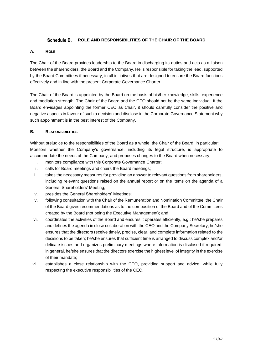### Schedule B. **ROLE AND RESPONSIBILITIES OF THE CHAIR OF THE BOARD**

### <span id="page-26-0"></span>**A. ROLE**

The Chair of the Board provides leadership to the Board in discharging its duties and acts as a liaison between the shareholders, the Board and the Company. He is responsible for taking the lead, supported by the Board Committees if necessary, in all initiatives that are designed to ensure the Board functions effectively and in line with the present Corporate Governance Charter.

The Chair of the Board is appointed by the Board on the basis of his/her knowledge, skills, experience and mediation strength. The Chair of the Board and the CEO should not be the same individual. If the Board envisages appointing the former CEO as Chair, it should carefully consider the positive and negative aspects in favour of such a decision and disclose in the Corporate Governance Statement why such appointment is in the best interest of the Company.

### **B. RESPONSIBILITIES**

Without prejudice to the responsibilities of the Board as a whole, the Chair of the Board, in particular: Monitors whether the Company's governance, including its legal structure, is appropriate to accommodate the needs of the Company, and proposes changes to the Board when necessary;

- i. monitors compliance with this Corporate Governance Charter;
- ii. calls for Board meetings and chairs the Board meetings;
- iii. takes the necessary measures for providing an answer to relevant questions from shareholders, including relevant questions raised on the annual report or on the items on the agenda of a General Shareholders' Meeting;
- iv. presides the General Shareholders' Meetings;
- v. following consultation with the Chair of the Remuneration and Nomination Committee, the Chair of the Board gives recommendations as to the composition of the Board and of the Committees created by the Board (not being the Executive Management); and
- vi. coordinates the activities of the Board and ensures it operates efficiently, e.g.: he/she prepares and defines the agenda in close collaboration with the CEO and the Company Secretary; he/she ensures that the directors receive timely, precise, clear, and complete information related to the decisions to be taken; he/she ensures that sufficient time is arranged to discuss complex and/or delicate issues and organizes preliminary meetings where information is disclosed if required; in general, he/she ensures that the directors exercise the highest level of integrity in the exercise of their mandate;
- vii. establishes a close relationship with the CEO, providing support and advice, while fully respecting the executive responsibilities of the CEO.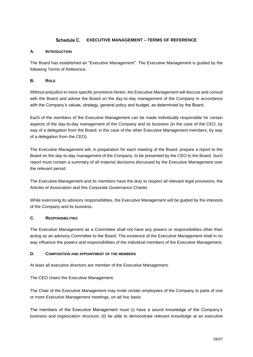## **EXECUTIVE MANAGEMENT – TERMS OF REFERENCE**

### <span id="page-27-0"></span>**A. INTRODUCTION**

The Board has established an "Executive Management". The Executive Management is guided by the following Terms of Reference.

### **B. ROLE**

Without prejudice to more specific provisions herein, the Executive Management will discuss and consult with the Board and advise the Board on the day-to-day management of the Company in accordance with the Company's values, strategy, general policy and budget, as determined by the Board.

Each of the members of the Executive Management can be made individually responsible for certain aspects of the day-to-day management of the Company and its business (in the case of the CEO, by way of a delegation from the Board; in the case of the other Executive Management members, by way of a delegation from the CEO).

The Executive Management will, in preparation for each meeting of the Board, prepare a report to the Board on the day-to-day management of the Company, to be presented by the CEO to the Board. Such report must contain a summary of all material decisions discussed by the Executive Management over the relevant period.

The Executive Management and its members have the duty to respect all relevant legal provisions, the Articles of Association and this Corporate Governance Charter.

While exercising its advisory responsibilities, the Executive Management will be guided by the interests of the Company and its business.

### **C. RESPONSIBILITIES**

The Executive Management as a Committee shall not have any powers or responsibilities other than acting as an advisory Committee to the Board. The existence of the Executive Management shall in no way influence the powers and responsibilities of the individual members of the Executive Management.

### **D. COMPOSITION AND APPOINTMENT OF THE MEMBERS**

At least all executive directors are member of the Executive Management.

The CEO chairs the Executive Management.

The Chair of the Executive Management may invite certain employees of the Company to parts of one or more Executive Management meetings, on ad hoc basis.

The members of the Executive Management must (i) have a sound knowledge of the Company's business and organization structure; (ii) be able to demonstrate relevant knowledge at an executive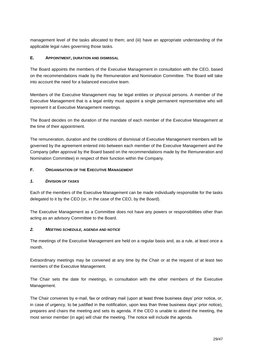management level of the tasks allocated to them; and (iii) have an appropriate understanding of the applicable legal rules governing those tasks.

### **E. APPOINTMENT, DURATION AND DISMISSAL**

The Board appoints the members of the Executive Management in consultation with the CEO, based on the recommendations made by the Remuneration and Nomination Committee. The Board will take into account the need for a balanced executive team.

Members of the Executive Management may be legal entities or physical persons. A member of the Executive Management that is a legal entity must appoint a single permanent representative who will represent it at Executive Management meetings.

The Board decides on the duration of the mandate of each member of the Executive Management at the time of their appointment.

The remuneration, duration and the conditions of dismissal of Executive Management members will be governed by the agreement entered into between each member of the Executive Management and the Company (after approval by the Board based on the recommendations made by the Remuneration and Nomination Committee) in respect of their function within the Company.

### **F. ORGANISATION OF THE EXECUTIVE MANAGEMENT**

### *1. DIVISION OF TASKS*

Each of the members of the Executive Management can be made individually responsible for the tasks delegated to it by the CEO (or, in the case of the CEO, by the Board).

The Executive Management as a Committee does not have any powers or responsibilities other than acting as an advisory Committee to the Board.

### *2. MEETING SCHEDULE, AGENDA AND NOTICE*

The meetings of the Executive Management are held on a regular basis and, as a rule, at least once a month.

Extraordinary meetings may be convened at any time by the Chair or at the request of at least two members of the Executive Management.

The Chair sets the date for meetings, in consultation with the other members of the Executive Management.

The Chair convenes by e-mail, fax or ordinary mail (upon at least three business days' prior notice, or, in case of urgency, to be justified in the notification, upon less than three business days' prior notice), prepares and chairs the meeting and sets its agenda. If the CEO is unable to attend the meeting, the most senior member (in age) will chair the meeting. The notice will include the agenda.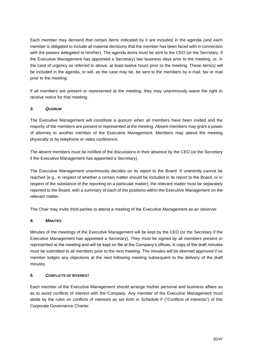Each member may demand that certain items indicated by it are included in the agenda (and each member is obligated to include all material decisions that the member has been faced with in connection with the powers delegated to him/her). The agenda items must be sent to the CEO (or the Secretary, if the Executive Management has appointed a Secretary) two business days prior to the meeting, or, in the case of urgency as referred to above, at least twelve hours prior to the meeting. These item(s) will be included in the agenda, or will, as the case may be, be sent to the members by e-mail, fax or mail prior to the meeting.

If all members are present or represented at the meeting, they may unanimously waive the right to receive notice for that meeting.

### *3. QUORUM*

The Executive Management will constitute a quorum when all members have been invited and the majority of the members are present or represented at the meeting. Absent members may grant a power of attorney to another member of the Executive Management. Members may attend the meeting physically or by telephone or video conference.

The absent members must be notified of the discussions in their absence by the CEO (or the Secretary if the Executive Management has appointed a Secretary).

The Executive Management unanimously decides on its report to the Board. If unanimity cannot be reached (e.g., in respect of whether a certain matter should be included in its report to the Board, or in respect of the substance of the reporting on a particular matter), the relevant matter must be separately reported to the Board, with a summary of each of the positions within the Executive Management on the relevant matter.

The Chair may invite third parties to attend a meeting of the Executive Management as an observer.

### *4. MINUTES*

Minutes of the meetings of the Executive Management will be kept by the CEO (or the Secretary if the Executive Management has appointed a Secretary). They must be signed by all members present or represented at the meeting and will be kept on file at the Company's offices. A copy of the draft minutes must be submitted to all members prior to the next meeting. The minutes will be deemed approved if no member lodges any objections at the next following meeting subsequent to the delivery of the draft minutes.

### *5. CONFLICTS OF INTEREST*

Each member of the Executive Management should arrange his/her personal and business affairs so as to avoid conflicts of interest with the Company. Any member of the Executive Management must abide by the rules on conflicts of interests as set forth in [Schedule F](#page-42-0) (["Conflicts of interests"](#page-42-0)) of this Corporate Governance Charter.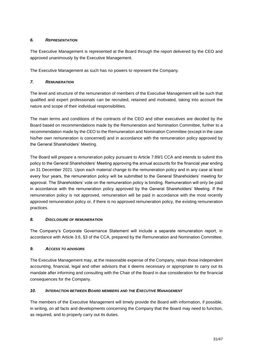## *6. REPRESENTATION*

The Executive Management is represented at the Board through the report delivered by the CEO and approved unanimously by the Executive Management.

The Executive Management as such has no powers to represent the Company.

# *7. REMUNERATION*

The level and structure of the remuneration of members of the Executive Management will be such that qualified and expert professionals can be recruited, retained and motivated, taking into account the nature and scope of their individual responsibilities.

The main terms and conditions of the contracts of the CEO and other executives are decided by the Board based on recommendations made by the Remuneration and Nomination Committee, further to a recommendation made by the CEO to the Remuneration and Nomination Committee (except in the case his/her own remuneration is concerned) and in accordance with the remuneration policy approved by the General Shareholders' Meeting.

The Board will prepare a remuneration policy pursuant to Article 7:89/1 CCA and intends to submit this policy to the General Shareholders' Meeting approving the annual accounts for the financial year ending on 31 December 2021. Upon each material change to the remuneration policy and in any case at least every four years, the remuneration policy will be submitted to the General Shareholders' meeting for approval. The Shareholders' vote on the remuneration policy is binding. Remuneration will only be paid in accordance with the remuneration policy approved by the General Shareholders' Meeting. If the remuneration policy is not approved, remuneration will be paid in accordance with the most recently approved remuneration policy or, if there is no approved remuneration policy, the existing remuneration practices.

### *8. DISCLOSURE OF REMUNERATION*

The Company's Corporate Governance Statement will include a separate remuneration report, in accordance with Article 3:6, §3 of the CCA, prepared by the Remuneration and Nomination Committee.

# *9. ACCESS TO ADVISORS*

The Executive Management may, at the reasonable expense of the Company, retain those independent accounting, financial, legal and other advisors that it deems necessary or appropriate to carry out its mandate after informing and consulting with the Chair of the Board in due consideration for the financial consequences for the Company.

### *10. INTERACTION BETWEEN BOARD MEMBERS AND THE EXECUTIVE MANAGEMENT*

The members of the Executive Management will timely provide the Board with information, if possible, in writing, on all facts and developments concerning the Company that the Board may need to function, as required, and to properly carry out its duties.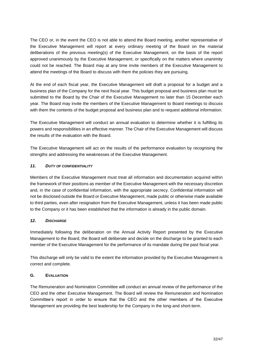The CEO or, in the event the CEO is not able to attend the Board meeting, another representative of the Executive Management will report at every ordinary meeting of the Board on the material deliberations of the previous meeting(s) of the Executive Management, on the basis of the report approved unanimously by the Executive Management, or specifically on the matters where unanimity could not be reached. The Board may at any time invite members of the Executive Management to attend the meetings of the Board to discuss with them the policies they are pursuing.

At the end of each fiscal year, the Executive Management will draft a proposal for a budget and a business plan of the Company for the next fiscal year. This budget proposal and business plan must be submitted to the Board by the Chair of the Executive Management no later than 15 December each year. The Board may invite the members of the Executive Management to Board meetings to discuss with them the contents of the budget proposal and business plan and to request additional information.

The Executive Management will conduct an annual evaluation to determine whether it is fulfilling its powers and responsibilities in an effective manner. The Chair of the Executive Management will discuss the results of the evaluation with the Board.

The Executive Management will act on the results of the performance evaluation by recognising the strengths and addressing the weaknesses of the Executive Management.

### *11. DUTY OF CONFIDENTIALITY*

Members of the Executive Management must treat all information and documentation acquired within the framework of their positions as member of the Executive Management with the necessary discretion and, in the case of confidential information, with the appropriate secrecy. Confidential information will not be disclosed outside the Board or Executive Management, made public or otherwise made available to third parties, even after resignation from the Executive Management, unless it has been made public to the Company or it has been established that the information is already in the public domain.

### *12. DISCHARGE*

Immediately following the deliberation on the Annual Activity Report presented by the Executive Management to the Board, the Board will deliberate and decide on the discharge to be granted to each member of the Executive Management for the performance of its mandate during the past fiscal year.

This discharge will only be valid to the extent the information provided by the Executive Management is correct and complete.

### **G. EVALUATION**

<span id="page-31-0"></span>The Remuneration and Nomination Committee will conduct an annual review of the performance of the CEO and the other Executive Management. The Board will review the Remuneration and Nomination Committee's report in order to ensure that the CEO and the other members of the Executive Management are providing the best leadership for the Company in the long-and short-term.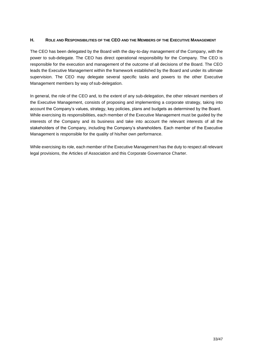### <span id="page-32-0"></span>**H. ROLE AND RESPONSIBILITIES OF THE CEO AND THE MEMBERS OF THE EXECUTIVE MANAGEMENT**

The CEO has been delegated by the Board with the day-to-day management of the Company, with the power to sub-delegate. The CEO has direct operational responsibility for the Company. The CEO is responsible for the execution and management of the outcome of all decisions of the Board. The CEO leads the Executive Management within the framework established by the Board and under its ultimate supervision. The CEO may delegate several specific tasks and powers to the other Executive Management members by way of sub-delegation.

In general, the role of the CEO and, to the extent of any sub-delegation, the other relevant members of the Executive Management, consists of proposing and implementing a corporate strategy, taking into account the Company's values, strategy, key policies, plans and budgets as determined by the Board. While exercising its responsibilities, each member of the Executive Management must be guided by the interests of the Company and its business and take into account the relevant interests of all the stakeholders of the Company, including the Company's shareholders. Each member of the Executive Management is responsible for the quality of his/her own performance.

While exercising its role, each member of the Executive Management has the duty to respect all relevant legal provisions, the Articles of Association and this Corporate Governance Charter.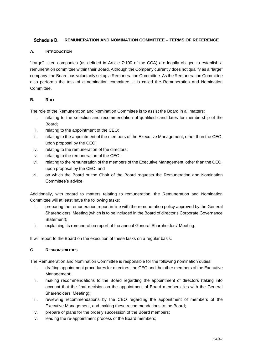### <span id="page-33-0"></span>Schedule D. **REMUNERATION AND NOMINATION COMMITTEE – TERMS OF REFERENCE**

### **A. INTRODUCTION**

"Large" listed companies (as defined in Article 7:100 of the CCA) are legally obliged to establish a remuneration committee within their Board. Although the Company currently does not qualify as a "large" company, the Board has voluntarily set up a Remuneration Committee. As the Remuneration Committee also performs the task of a nomination committee, it is called the Remuneration and Nomination Committee.

### **B. ROLE**

The role of the Remuneration and Nomination Committee is to assist the Board in all matters:

- i. relating to the selection and recommendation of qualified candidates for membership of the Board;
- ii. relating to the appointment of the CEO;
- iii. relating to the appointment of the members of the Executive Management, other than the CEO, upon proposal by the CEO;
- iv. relating to the remuneration of the directors;
- v. relating to the remuneration of the CEO;
- vi. relating to the remuneration of the members of the Executive Management, other than the CEO, upon proposal by the CEO; and
- vii. on which the Board or the Chair of the Board requests the Remuneration and Nomination Committee's advice.

Additionally, with regard to matters relating to remuneration, the Remuneration and Nomination Committee will at least have the following tasks:

- i. preparing the remuneration report in line with the remuneration policy approved by the General Shareholders' Meeting (which is to be included in the Board of director's Corporate Governance Statement);
- ii. explaining its remuneration report at the annual General Shareholders' Meeting.

It will report to the Board on the execution of these tasks on a regular basis.

### **C. RESPONSIBILITIES**

The Remuneration and Nomination Committee is responsible for the following nomination duties:

- i. drafting appointment procedures for directors, the CEO and the other members of the Executive Management;
- ii. making recommendations to the Board regarding the appointment of directors (taking into account that the final decision on the appointment of Board members lies with the General Shareholders' Meeting);
- iii. reviewing recommendations by the CEO regarding the appointment of members of the Executive Management, and making these recommendations to the Board;
- iv. prepare of plans for the orderly succession of the Board members;
- v. leading the re-appointment process of the Board members;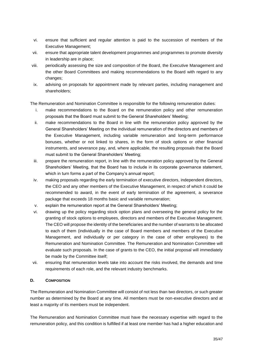- vi. ensure that sufficient and regular attention is paid to the succession of members of the Executive Management;
- vii. ensure that appropriate talent development programmes and programmes to promote diversity in leadership are in place;
- viii. periodically assessing the size and composition of the Board, the Executive Management and the other Board Committees and making recommendations to the Board with regard to any changes;
- ix. advising on proposals for appointment made by relevant parties, including management and shareholders;

The Remuneration and Nomination Committee is responsible for the following remuneration duties:

- i. make recommendations to the Board on the remuneration policy and other remuneration proposals that the Board must submit to the General Shareholders' Meeting;
- ii. make recommendations to the Board in line with the remuneration policy approved by the General Shareholders' Meeting on the individual remuneration of the directors and members of the Executive Management, including variable remuneration and long-term performance bonuses, whether or not linked to shares, in the form of stock options or other financial instruments, and severance pay, and, where applicable, the resulting proposals that the Board must submit to the General Shareholders' Meeting;
- iii. prepare the remuneration report, in line with the remuneration policy approved by the General Shareholders' Meeting, that the Board has to include in its corporate governance statement, which in turn forms a part of the Company's annual report;
- iv. making proposals regarding the early termination of executive directors, independent directors, the CEO and any other members of the Executive Management, in respect of which it could be recommended to award, in the event of early termination of the agreement, a severance package that exceeds 18 months basic and variable remuneration;
- v. explain the remuneration report at the General Shareholders' Meeting;
- vi. drawing up the policy regarding stock option plans and overseeing the general policy for the granting of stock options to employees, directors and members of the Executive Management. The CEO will propose the identity of the beneficiaries and the number of warrants to be allocated to each of them (individually in the case of Board members and members of the Executive Management, and individually or per category in the case of other employees) to the Remuneration and Nomination Committee. The Remuneration and Nomination Committee will evaluate such proposals. In the case of grants to the CEO, the initial proposal will immediately be made by the Committee itself;
- vii. ensuring that remuneration levels take into account the risks involved, the demands and time requirements of each role, and the relevant industry benchmarks.

### **D. COMPOSITION**

The Remuneration and Nomination Committee will consist of not less than two directors, or such greater number as determined by the Board at any time. All members must be non-executive directors and at least a majority of its members must be independent.

The Remuneration and Nomination Committee must have the necessary expertise with regard to the remuneration policy, and this condition is fulfilled if at least one member has had a higher education and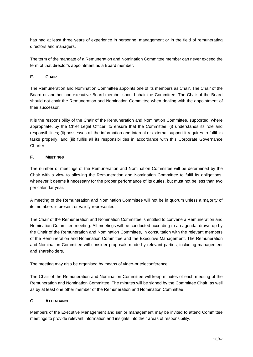has had at least three years of experience in personnel management or in the field of remunerating directors and managers.

The term of the mandate of a Remuneration and Nomination Committee member can never exceed the term of that director's appointment as a Board member.

### **E. CHAIR**

The Remuneration and Nomination Committee appoints one of its members as Chair. The Chair of the Board or another non-executive Board member should chair the Committee. The Chair of the Board should not chair the Remuneration and Nomination Committee when dealing with the appointment of their successor.

It is the responsibility of the Chair of the Remuneration and Nomination Committee, supported, where appropriate, by the Chief Legal Officer, to ensure that the Committee: (i) understands its role and responsibilities; (ii) possesses all the information and internal or external support it requires to fulfil its tasks properly; and (iii) fulfils all its responsibilities in accordance with this Corporate Governance Charter.

### **F. MEETINGS**

The number of meetings of the Remuneration and Nomination Committee will be determined by the Chair with a view to allowing the Remuneration and Nomination Committee to fulfil its obligations, whenever it deems it necessary for the proper performance of its duties, but must not be less than two per calendar year.

A meeting of the Remuneration and Nomination Committee will not be in quorum unless a majority of its members is present or validly represented.

The Chair of the Remuneration and Nomination Committee is entitled to convene a Remuneration and Nomination Committee meeting. All meetings will be conducted according to an agenda, drawn up by the Chair of the Remuneration and Nomination Committee, in consultation with the relevant members of the Remuneration and Nomination Committee and the Executive Management. The Remuneration and Nomination Committee will consider proposals made by relevant parties, including management and shareholders.

The meeting may also be organised by means of video-or teleconference.

The Chair of the Remuneration and Nomination Committee will keep minutes of each meeting of the Remuneration and Nomination Committee. The minutes will be signed by the Committee Chair, as well as by at least one other member of the Remuneration and Nomination Committee.

### **G. ATTENDANCE**

Members of the Executive Management and senior management may be invited to attend Committee meetings to provide relevant information and insights into their areas of responsibility.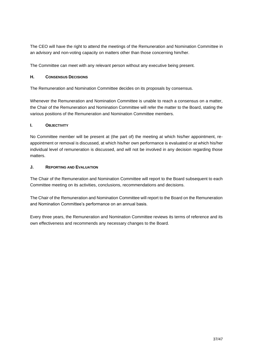The CEO will have the right to attend the meetings of the Remuneration and Nomination Committee in an advisory and non-voting capacity on matters other than those concerning him/her.

The Committee can meet with any relevant person without any executive being present.

### **H. CONSENSUS DECISIONS**

The Remuneration and Nomination Committee decides on its proposals by consensus.

Whenever the Remuneration and Nomination Committee is unable to reach a consensus on a matter, the Chair of the Remuneration and Nomination Committee will refer the matter to the Board, stating the various positions of the Remuneration and Nomination Committee members.

### **I. OBJECTIVITY**

No Committee member will be present at (the part of) the meeting at which his/her appointment, reappointment or removal is discussed, at which his/her own performance is evaluated or at which his/her individual level of remuneration is discussed, and will not be involved in any decision regarding those matters.

### **J. REPORTING AND EVALUATION**

The Chair of the Remuneration and Nomination Committee will report to the Board subsequent to each Committee meeting on its activities, conclusions, recommendations and decisions.

The Chair of the Remuneration and Nomination Committee will report to the Board on the Remuneration and Nomination Committee's performance on an annual basis.

Every three years, the Remuneration and Nomination Committee reviews its terms of reference and its own effectiveness and recommends any necessary changes to the Board.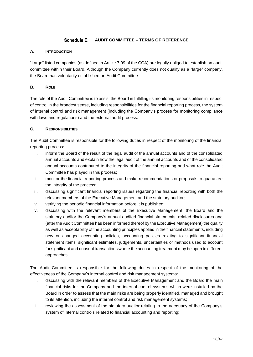### Schedule E. **AUDIT COMMITTEE – TERMS OF REFERENCE**

### <span id="page-37-0"></span>**A. INTRODUCTION**

"Large" listed companies (as defined in Article 7:99 of the CCA) are legally obliged to establish an audit committee within their Board. Although the Company currently does not qualify as a "large" company, the Board has voluntarily established an Audit Committee.

### **B. ROLE**

The role of the Audit Committee is to assist the Board in fulfilling its monitoring responsibilities in respect of control in the broadest sense, including responsibilities for the financial reporting process, the system of internal control and risk management (including the Company's process for monitoring compliance with laws and regulations) and the external audit process.

### **C. RESPONSIBILITIES**

The Audit Committee is responsible for the following duties in respect of the monitoring of the financial reporting process:

- i. inform the Board of the result of the legal audit of the annual accounts and of the consolidated annual accounts and explain how the legal audit of the annual accounts and of the consolidated annual accounts contributed to the integrity of the financial reporting and what role the Audit Committee has played in this process;
- ii. monitor the financial reporting process and make recommendations or proposals to guarantee the integrity of the process;
- iii. discussing significant financial reporting issues regarding the financial reporting with both the relevant members of the Executive Management and the statutory auditor;
- iv. verifying the periodic financial information before it is published;
- v. discussing with the relevant members of the Executive Management, the Board and the statutory auditor the Company's annual audited financial statements, related disclosures and (after the Audit Committee has been informed thereof by the Executive Management) the quality as well as acceptability of the accounting principles applied in the financial statements, including new or changed accounting policies, accounting policies relating to significant financial statement items, significant estimates, judgements, uncertainties or methods used to account for significant and unusual transactions where the accounting treatment may be open to different approaches.

The Audit Committee is responsible for the following duties in respect of the monitoring of the effectiveness of the Company's internal control and risk management systems:

- i. discussing with the relevant members of the Executive Management and the Board the main financial risks for the Company and the internal control systems which were installed by the Board in order to assess that the main risks are being properly identified, managed and brought to its attention, including the internal control and risk management systems;
- ii. reviewing the assessment of the statutory auditor relating to the adequacy of the Company's system of internal controls related to financial accounting and reporting;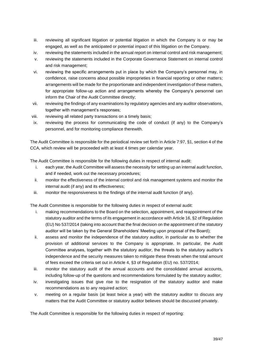- iii. reviewing all significant litigation or potential litigation in which the Company is or may be engaged, as well as the anticipated or potential impact of this litigation on the Company.
- iv. reviewing the statements included in the annual report on internal control and risk management;
- v. reviewing the statements included in the Corporate Governance Statement on internal control and risk management;
- vi. reviewing the specific arrangements put in place by which the Company's personnel may, in confidence, raise concerns about possible improprieties in financial reporting or other matters; arrangements will be made for the proportionate and independent investigation of these matters, for appropriate follow-up action and arrangements whereby the Company's personnel can inform the Chair of the Audit Committee directly;
- vii. reviewing the findings of any examinations by regulatory agencies and any auditor observations, together with management's responses;
- viii. reviewing all related party transactions on a timely basis;
- ix. reviewing the process for communicating the code of conduct (if any) to the Company's personnel, and for monitoring compliance therewith.

The Audit Committee is responsible for the periodical review set forth in Article 7:97, §1, section 4 of the CCA, which review will be proceeded with at least 4 times per calendar year.

The Audit Committee is responsible for the following duties in respect of internal audit:

- i. each year, the Audit Committee will assess the necessity for setting up an internal audit function, and if needed, work out the necessary procedures;
- ii. monitor the effectiveness of the internal control and risk management systems and monitor the internal audit (if any) and its effectiveness;
- iii. monitor the responsiveness to the findings of the internal audit function (if any).

The Audit Committee is responsible for the following duties in respect of external audit:

- i. making recommendations to the Board on the selection, appointment, and reappointment of the statutory auditor and the terms of its engagement in accordance with Article 16, §2 of Regulation (EU) No 537/2014 (taking into account that the final decision on the appointment of the statutory auditor will be taken by the General Shareholders' Meeting upon proposal of the Board);
- ii. assess and monitor the independence of the statutory auditor, in particular as to whether the provision of additional services to the Company is appropriate. In particular, the Audit Committee analyses, together with the statutory auditor, the threats to the statutory auditor's independence and the security measures taken to mitigate these threats when the total amount of fees exceed the criteria set out in Article 4, §3 of Regulation (EU) no. 537/2014;
- iii. monitor the statutory audit of the annual accounts and the consolidated annual accounts, including follow-up of the questions and recommendations formulated by the statutory auditor;
- iv. investigating issues that give rise to the resignation of the statutory auditor and make recommendations as to any required action;
- v. meeting on a regular basis (at least twice a year) with the statutory auditor to discuss any matters that the Audit Committee or statutory auditor believes should be discussed privately.

The Audit Committee is responsible for the following duties in respect of reporting: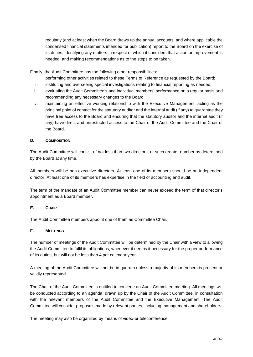i. regularly (and at least when the Board draws up the annual accounts, and where applicable the condensed financial statements intended for publication) report to the Board on the exercise of its duties, identifying any matters in respect of which it considers that action or improvement is needed, and making recommendations as to the steps to be taken.

Finally, the Audit Committee has the following other responsibilities:

- i. performing other activities related to these Terms of Reference as requested by the Board;
- ii. instituting and overseeing special investigations relating to financial reporting as needed;
- iii. evaluating the Audit Committee's and individual members' performance on a regular basis and recommending any necessary changes to the Board;
- iv. maintaining an effective working relationship with the Executive Management, acting as the principal point of contact for the statutory auditor and the internal audit (if any) to guarantee they have free access to the Board and ensuring that the statutory auditor and the internal audit (if any) have direct and unrestricted access to the Chair of the Audit Committee and the Chair of the Board.

### **D. COMPOSITION**

The Audit Committee will consist of not less than two directors, or such greater number as determined by the Board at any time.

All members will be non-executive directors. At least one of its members should be an independent director. At least one of its members has expertise in the field of accounting and audit.

The term of the mandate of an Audit Committee member can never exceed the term of that director's appointment as a Board member.

### **E. CHAIR**

The Audit Committee members appoint one of them as Committee Chair.

### **F. MEETINGS**

The number of meetings of the Audit Committee will be determined by the Chair with a view to allowing the Audit Committee to fulfil its obligations, whenever it deems it necessary for the proper performance of its duties, but will not be less than 4 per calendar year.

A meeting of the Audit Committee will not be in quorum unless a majority of its members is present or validly represented.

The Chair of the Audit Committee is entitled to convene an Audit Committee meeting. All meetings will be conducted according to an agenda, drawn up by the Chair of the Audit Committee, in consultation with the relevant members of the Audit Committee and the Executive Management. The Audit Committee will consider proposals made by relevant parties, including management and shareholders.

The meeting may also be organized by means of video-or teleconference.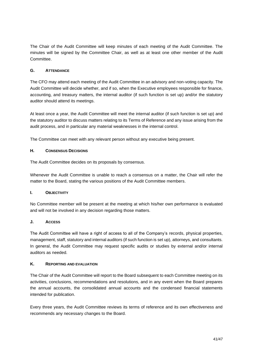The Chair of the Audit Committee will keep minutes of each meeting of the Audit Committee. The minutes will be signed by the Committee Chair, as well as at least one other member of the Audit Committee.

### **G. ATTENDANCE**

The CFO may attend each meeting of the Audit Committee in an advisory and non-voting capacity. The Audit Committee will decide whether, and if so, when the Executive employees responsible for finance, accounting, and treasury matters, the internal auditor (if such function is set up) and/or the statutory auditor should attend its meetings.

At least once a year, the Audit Committee will meet the internal auditor (if such function is set up) and the statutory auditor to discuss matters relating to its Terms of Reference and any issue arising from the audit process, and in particular any material weaknesses in the internal control.

The Committee can meet with any relevant person without any executive being present.

### **H. CONSENSUS DECISIONS**

The Audit Committee decides on its proposals by consensus.

Whenever the Audit Committee is unable to reach a consensus on a matter, the Chair will refer the matter to the Board, stating the various positions of the Audit Committee members.

### **I. OBJECTIVITY**

No Committee member will be present at the meeting at which his/her own performance is evaluated and will not be involved in any decision regarding those matters.

### **J. ACCESS**

The Audit Committee will have a right of access to all of the Company's records, physical properties, management, staff, statutory and internal auditors (if such function is set up), attorneys, and consultants. In general, the Audit Committee may request specific audits or studies by external and/or internal auditors as needed.

### **K. REPORTING AND EVALUATION**

The Chair of the Audit Committee will report to the Board subsequent to each Committee meeting on its activities, conclusions, recommendations and resolutions, and in any event when the Board prepares the annual accounts, the consolidated annual accounts and the condensed financial statements intended for publication.

Every three years, the Audit Committee reviews its terms of reference and its own effectiveness and recommends any necessary changes to the Board.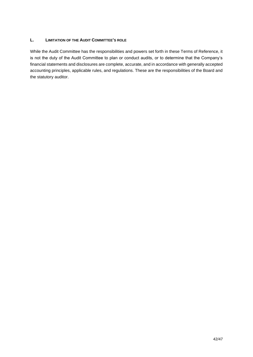### **L. LIMITATION OF THE AUDIT COMMITTEE'S ROLE**

While the Audit Committee has the responsibilities and powers set forth in these Terms of Reference, it is not the duty of the Audit Committee to plan or conduct audits, or to determine that the Company's financial statements and disclosures are complete, accurate, and in accordance with generally accepted accounting principles, applicable rules, and regulations. These are the responsibilities of the Board and the statutory auditor.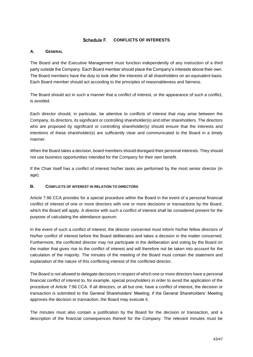### Schedule F. **CONFLICTS OF INTERESTS**

### <span id="page-42-0"></span>**A. GENERAL**

The Board and the Executive Management must function independently of any instruction of a third party outside the Company. Each Board member should place the Company's interests above their own. The Board members have the duty to look after the interests of all shareholders on an equivalent basis. Each Board member should act according to the principles of reasonableness and fairness.

The Board should act in such a manner that a conflict of interest, or the appearance of such a conflict, is avoided.

Each director should, in particular, be attentive to conflicts of interest that may arise between the Company, its directors, its significant or controlling shareholder(s) and other shareholders. The directors who are proposed by significant or controlling shareholder(s) should ensure that the interests and intentions of these shareholder(s) are sufficiently clear and communicated to the Board in a timely manner.

When the Board takes a decision, board members should disregard their personal interests. They should not use business opportunities intended for the Company for their own benefit.

If the Chair itself has a conflict of interest his/her tasks are performed by the most senior director (in age).

### **B. CONFLICTS OF INTEREST IN RELATION TO DIRECTORS**

Article 7:96 CCA provides for a special procedure within the Board in the event of a personal financial conflict of interest of one or more directors with one or more decisions or transactions by the Board, which the Board will apply. A director with such a conflict of interest shall be considered present for the purpose of calculating the attendance quorum.

In the event of such a conflict of interest, the director concerned must inform his/her fellow directors of his/her conflict of interest before the Board deliberates and takes a decision in the matter concerned. Furthermore, the conflicted director may not participate in the deliberation and voting by the Board on the matter that gives rise to the conflict of interest and will therefore not be taken into account for the calculation of the majority. The minutes of the meeting of the Board must contain the statement and explanation of the nature of this conflicting interest of the conflicted director.

The Board is not allowed to delegate decisions in respect of which one or more directors have a personal financial conflict of interest to, for example, special proxyholders in order to avoid the application of the procedure of Article 7:96 CCA. If all directors, or all but one, have a conflict of interest, the decision or transaction is submitted to the General Shareholders' Meeting; if the General Shareholders' Meeting approves the decision or transaction, the Board may execute it.

The minutes must also contain a justification by the Board for the decision or transaction, and a description of the financial consequences thereof for the Company. The relevant minutes must be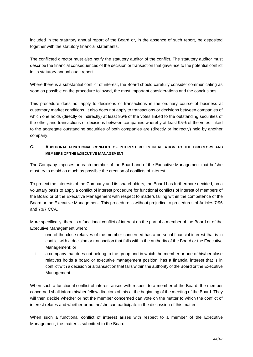included in the statutory annual report of the Board or, in the absence of such report, be deposited together with the statutory financial statements.

The conflicted director must also notify the statutory auditor of the conflict. The statutory auditor must describe the financial consequences of the decision or transaction that gave rise to the potential conflict in its statutory annual audit report.

Where there is a substantial conflict of interest, the Board should carefully consider communicating as soon as possible on the procedure followed, the most important considerations and the conclusions.

This procedure does not apply to decisions or transactions in the ordinary course of business at customary market conditions. It also does not apply to transactions or decisions between companies of which one holds (directly or indirectly) at least 95% of the votes linked to the outstanding securities of the other, and transactions or decisions between companies whereby at least 95% of the votes linked to the aggregate outstanding securities of both companies are (directly or indirectly) held by another company.

# **C. ADDITIONAL FUNCTIONAL CONFLICT OF INTEREST RULES IN RELATION TO THE DIRECTORS AND MEMBERS OF THE EXECUTIVE MANAGEMENT**

The Company imposes on each member of the Board and of the Executive Management that he/she must try to avoid as much as possible the creation of conflicts of interest.

To protect the interests of the Company and its shareholders, the Board has furthermore decided, on a voluntary basis to apply a conflict of interest procedure for functional conflicts of interest of members of the Board or of the Executive Management with respect to matters falling within the competence of the Board or the Executive Management. This procedure is without prejudice to procedures of Articles 7:96 and 7:97 CCA.

More specifically, there is a functional conflict of interest on the part of a member of the Board or of the Executive Management when:

- i. one of the close relatives of the member concerned has a personal financial interest that is in conflict with a decision or transaction that falls within the authority of the Board or the Executive Management; or
- ii. a company that does not belong to the group and in which the member or one of his/her close relatives holds a board or executive management position, has a financial interest that is in conflict with a decision or a transaction that falls within the authority of the Board or the Executive Management.

When such a functional conflict of interest arises with respect to a member of the Board, the member concerned shall inform his/her fellow directors of this at the beginning of the meeting of the Board. They will then decide whether or not the member concerned can vote on the matter to which the conflict of interest relates and whether or not he/she can participate in the discussion of this matter.

When such a functional conflict of interest arises with respect to a member of the Executive Management, the matter is submitted to the Board.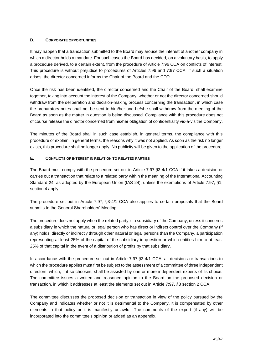### **D. CORPORATE OPPORTUNITIES**

It may happen that a transaction submitted to the Board may arouse the interest of another company in which a director holds a mandate. For such cases the Board has decided, on a voluntary basis, to apply a procedure derived, to a certain extent, from the procedure of Article 7:96 CCA on conflicts of interest. This procedure is without prejudice to procedures of Articles 7:96 and 7:97 CCA. If such a situation arises, the director concerned informs the Chair of the Board and the CEO.

Once the risk has been identified, the director concerned and the Chair of the Board, shall examine together, taking into account the interest of the Company, whether or not the director concerned should withdraw from the deliberation and decision-making process concerning the transaction, in which case the preparatory notes shall not be sent to him/her and he/she shall withdraw from the meeting of the Board as soon as the matter in question is being discussed. Compliance with this procedure does not of course release the director concerned from his/her obligation of confidentiality vis-à-vis the Company.

The minutes of the Board shall in such case establish, in general terms, the compliance with this procedure or explain, in general terms, the reasons why it was not applied. As soon as the risk no longer exists, this procedure shall no longer apply. No publicity will be given to the application of the procedure.

### **E. CONFLICTS OF INTEREST IN RELATION TO RELATED PARTIES**

The Board must comply with the procedure set out in Article 7:97,§3-4/1 CCA if it takes a decision or carries out a transaction that relate to a related party within the meaning of the International Accounting Standard 24, as adopted by the European Union (IAS 24), unless the exemptions of Article 7:97, §1, section 4 apply.

The procedure set out in Article 7:97, §3-4/1 CCA also applies to certain proposals that the Board submits to the General Shareholders' Meeting.

The procedure does not apply when the related party is a subsidiary of the Company, unless it concerns a subsidiary in which the natural or legal person who has direct or indirect control over the Company (if any) holds, directly or indirectly through other natural or legal persons than the Company, a participation representing at least 25% of the capital of the subsidiary in question or which entitles him to at least 25% of that capital in the event of a distribution of profits by that subsidiary.

In accordance with the procedure set out in Article 7:97,§3-4/1 CCA, all decisions or transactions to which the procedure applies must first be subject to the assessment of a committee of three independent directors, which, if it so chooses, shall be assisted by one or more independent experts of its choice. The committee issues a written and reasoned opinion to the Board on the proposed decision or transaction, in which it addresses at least the elements set out in Article 7:97, §3 section 2 CCA.

The committee discusses the proposed decision or transaction in view of the policy pursued by the Company and indicates whether or not it is detrimental to the Company, it is compensated by other elements in that policy or it is manifestly unlawful. The comments of the expert (if any) will be incorporated into the committee's opinion or added as an appendix.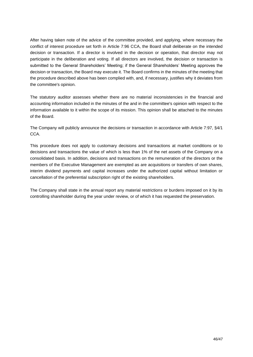After having taken note of the advice of the committee provided, and applying, where necessary the conflict of interest procedure set forth in Article 7:96 CCA, the Board shall deliberate on the intended decision or transaction. If a director is involved in the decision or operation, that director may not participate in the deliberation and voting. If all directors are involved, the decision or transaction is submitted to the General Shareholders' Meeting; if the General Shareholders' Meeting approves the decision or transaction, the Board may execute it. The Board confirms in the minutes of the meeting that the procedure described above has been complied with, and, if necessary, justifies why it deviates from the committee's opinion.

The statutory auditor assesses whether there are no material inconsistencies in the financial and accounting information included in the minutes of the and in the committee's opinion with respect to the information available to it within the scope of its mission. This opinion shall be attached to the minutes of the Board.

The Company will publicly announce the decisions or transaction in accordance with Article 7:97, §4/1 CCA.

This procedure does not apply to customary decisions and transactions at market conditions or to decisions and transactions the value of which is less than 1% of the net assets of the Company on a consolidated basis. In addition, decisions and transactions on the remuneration of the directors or the members of the Executive Management are exempted as are acquisitions or transfers of own shares, interim dividend payments and capital increases under the authorized capital without limitation or cancellation of the preferential subscription right of the existing shareholders.

The Company shall state in the annual report any material restrictions or burdens imposed on it by its controlling shareholder during the year under review, or of which it has requested the preservation.